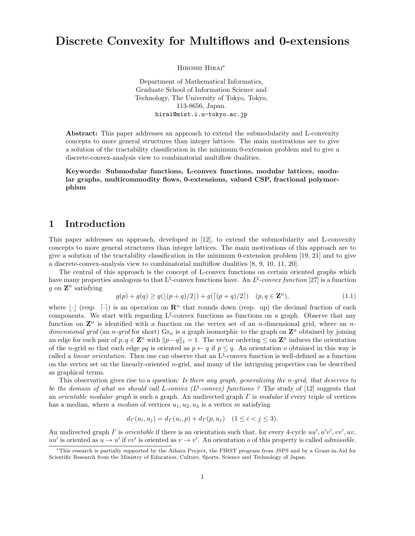# **Discrete Convexity for Multiflows and 0-extensions**

Hiroshi Hirai*<sup>∗</sup>*

Department of Mathematical Informatics, Graduate School of Information Science and Technology, The University of Tokyo, Tokyo, 113-8656, Japan. hirai@mist.i.u-tokyo.ac.jp

**Abstract:** This paper addresses an approach to extend the submodularity and L-convexity concepts to more general structures than integer lattices. The main motivations are to give a solution of the tractability classification in the minimum 0-extension problem and to give a discrete-convex-analysis view to combinatorial multiflow dualities.

**Keywords: Submodular functions, L-convex functions, modular lattices, modular graphs, multicommodity flows, 0-extensions, valued CSP, fractional polymorphism**

## **1 Introduction**

This paper addresses an approach, developed in [12], to extend the submodularity and L-convexity concepts to more general structures than integer lattices. The main motivations of this approach are to give a solution of the tractability classification in the minimum 0-extension problem [19, 21] and to give a discrete-convex-analysis view to combinatorial multiflow dualities [8, 9, 10, 11, 20].

The central of this approach is the concept of L-convex functions on certain oriented graphs which have many properties analogous to that  $L^{\natural}$ -convex functions have. An  $L^{\natural}$ -convex function [27] is a function *g* on  $\mathbf{Z}^n$  satisfying

$$
g(p) + g(q) \ge g(\lfloor (p+q)/2 \rfloor) + g(\lceil (p+q)/2 \rceil) \quad (p, q \in \mathbf{Z}^n),\tag{1.1}
$$

where  $\cdot \cdot \cdot$  (resp.  $\cdot \cdot \cdot$ ) is an operation on  $\mathbb{R}^n$  that rounds down (resp. up) the decimal fraction of each components. We start with regarding L<sup> $‡-convex functions as functions on a graph. Observe that any$ function on  $\mathbf{Z}^n$  is identified with a function on the vertex set of an *n*-dimensional grid, where an *ndimensional grid* (an *n*-grid for short)  $\text{Gr}_n$  is a graph isomorphic to the graph on  $\mathbb{Z}^n$  obtained by joining an edge for each pair of  $p, q \in \mathbb{Z}^n$  with  $||p-q||_1 = 1$ . The vector ordering  $\leq$  on  $\mathbb{Z}^n$  induces the orientation of the *n*-grid so that each edge *pq* is oriented as  $p \leftarrow q$  if  $p \leq q$ . An orientation *o* obtained in this way is called a *linear orientation.* Then one can observe that an L*♮* -convex function is well-defined as a function on the vertex set on the linearly-oriented *n*-grid, and many of the intriguing properties can be described as graphical terms.

This observation gives rise to a question: *Is there any graph, generalizing the n-grid, that deserves to be the domain of what we should call L-convex (L<sup>* $\sharp$ *</sup>-convex) functions ? The study of [12] suggests that* an *orientable modular graph* is such a graph. An undirected graph *Γ* is *modular* if every triple of vertices has a median, where a *median* of vertices  $u_1, u_2, u_3$  is a vertex *m* satisfying

$$
d_{\Gamma}(u_i, u_j) = d_{\Gamma}(u_i, p) + d_{\Gamma}(p, u_j) \quad (1 \le i < j \le 3).
$$

An undirected graph *Γ* is *orientable* if there is an orientation such that, for every 4-cycle *uu′ , u′ v ′ , vv′ , uv*, *uu*<sup>*'*</sup> is oriented as  $u \to u'$  if *vv*<sup>*'*</sup> is oriented as  $v \to v'$ . An orientation *o* of this property is called *admissible*.

*<sup>∗</sup>*This research is partially supported by the Aihara Project, the FIRST program from JSPS and by a Grant-in-Aid for Scientific Research from the Ministry of Education, Culture, Sports, Science and Technology of Japan.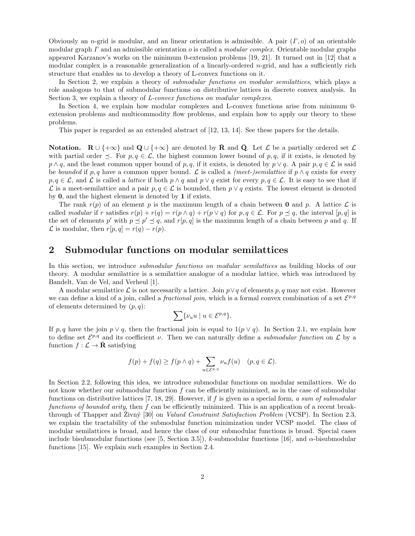Obviously an *n*-grid is modular, and an linear orientation is admissible. A pair (*Γ, o*) of an orientable modular graph *Γ* and an admissible orientation *o* is called a *modular complex*. Orientable modular graphs appeared Karzanov's works on the minimum 0-extension problems [19, 21]. It turned out in [12] that a modular complex is a reasonable generalization of a linearly-ordered *n*-grid, and has a sufficiently rich structure that enables us to develop a theory of L-convex functions on it.

In Section 2, we explain a theory of *submodular functions on modular semilattices*, which plays a role analogous to that of submodular functions on distributive lattices in discrete convex analysis. In Section 3, we explain a theory of *L-convex functions on modular complexes*.

In Section 4, we explain how modular complexes and L-convex functions arise from minimum 0 extension problems and multicommodity flow problems, and explain how to apply our theory to these problems.

This paper is regarded as an extended abstract of [12, 13, 14]. See these papers for the details.

**Notation.**  $\mathbb{R} \cup \{+\infty\}$  and  $\mathbb{Q} \cup \{+\infty\}$  are denoted by **R** and **Q**. Let *L* be a partially ordered set *L* with partial order  $\preceq$ . For  $p, q \in \mathcal{L}$ , the highest common lower bound of  $p, q$ , if it exists, is denoted by  $p \wedge q$ , and the least common upper bound of *p, q*, if it exists, is denoted by  $p \vee q$ . A pair  $p, q \in \mathcal{L}$  is said be *bounded* if  $p, q$  have a common upper bound.  $\mathcal L$  is called a *(meet-)semilattice* if  $p \wedge q$  exists for every  $p, q \in \mathcal{L}$ , and  $\mathcal{L}$  is called a *lattice* if both  $p \wedge q$  and  $p \vee q$  exist for every  $p, q \in \mathcal{L}$ . It is easy to see that if *L* is a meet-semilattice and a pair *p, q* ∈ *L* is bounded, then *p*  $∨$  *q* exists. The lowest element is denoted by **0**, and the highest element is denoted by **1** if exists.

The rank  $r(p)$  of an element p is the maximum length of a chain between **0** and p. A lattice  $\mathcal{L}$  is called *modular* if r satisfies  $r(p) + r(q) = r(p \wedge q) + r(p \vee q)$  for  $p, q \in \mathcal{L}$ . For  $p \preceq q$ , the interval [p, q] is the set of elements  $p'$  with  $p \leq p' \leq q$ , and  $r[p, q]$  is the maximum length of a chain between p and q. If  $\mathcal{L}$  is modular, then  $r[p, q] = r(q) - r(p)$ .

## **2 Submodular functions on modular semilattices**

In this section, we introduce *submodular functions on modular semilattices* as building blocks of our theory. A modular semilattice is a semilattice analogue of a modular lattice, which was introduced by Bandelt, Van de Vel, and Verheul [1].

A modular semilattice *L* is not necessarily a lattice. Join *p∨q* of elements *p, q* may not exist. However we can define a kind of a join, called a *fractional join*, which is a formal convex combination of a set  $\mathcal{E}^{p,q}$ of elements determined by (*p, q*):

$$
\sum \{\nu_u u \mid u \in \mathcal{E}^{p,q}\}.
$$

If *p, q* have the join  $p \vee q$ , then the fractional join is equal to  $1(p \vee q)$ . In Section 2.1, we explain how to define set  $\mathcal{E}^{p,q}$  and its coefficient *ν*. Then we can naturally define a *submodular function* on  $\mathcal{L}$  by a function  $f: \mathcal{L} \to \bar{\mathbf{R}}$  satisfying

$$
f(p) + f(q) \ge f(p \wedge q) + \sum_{u \in \mathcal{E}^{p,q}} \nu_u f(u) \quad (p, q \in \mathcal{L}).
$$

In Section 2.2, following this idea, we introduce submodular functions on modular semilattices. We do not know whether our submodular function *f* can be efficiently minimized, as in the case of submodular functions on distributive lattices [7, 18, 29]. However, if *f* is given as a special form, *a sum of submodular functions of bounded arity*, then *f* can be efficiently minimized. This is an application of a recent breakthrough of Thapper and Zivný [30] on *Valued Constraint Satisfaction Problem* (VCSP). In Section 2.3, we explain the tractability of the submodular function minimization under VCSP model. The class of modular semilattices is broad, and hence the class of our submodular functions is broad. Special cases include bisubmodular functions (see [5, Section 3.5]), *k*-submodular functions [16], and  $\alpha$ -bisubmodular functions [15]. We explain such examples in Section 2.4.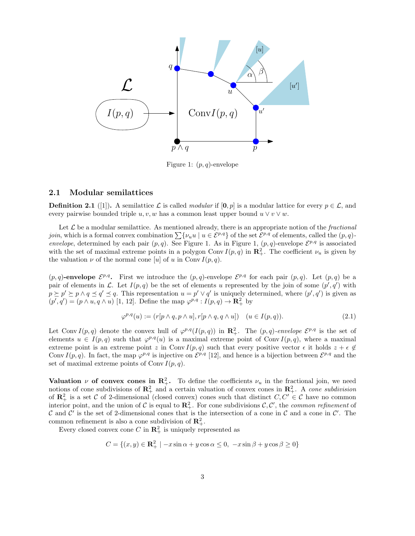

Figure 1: (*p, q*)-envelope

#### **2.1 Modular semilattices**

**Definition 2.1** ([1]). A semilattice  $\mathcal{L}$  is called *modular* if  $[\mathbf{0}, p]$  is a modular lattice for every  $p \in \mathcal{L}$ , and every pairwise bounded triple  $u, v, w$  has a common least upper bound  $u \vee v \vee w$ .

Let  $\mathcal L$  be a modular semilattice. As mentioned already, there is an appropriate notion of the *fractional join*, which is a formal convex combination  $\sum \{\nu_u u \mid u \in \mathcal{E}^{p,q}\}\$  of the set  $\mathcal{E}^{p,q}$  of elements, called the  $(p,q)$ *envelope*, determined by each pair  $(p, q)$ . See Figure 1. As in Figure 1,  $(p, q)$ -envelope  $\mathcal{E}^{p,q}$  is associated with the set of maximal extreme points in a polygon Conv  $I(p,q)$  in  $\mathbb{R}^2_+$ . The coefficient  $\nu_u$  is given by the valuation  $\nu$  of the normal cone [*u*] of *u* in Conv  $I(p,q)$ .

 $(p, q)$ **-envelope**  $\mathcal{E}^{p,q}$ . First we introduce the  $(p, q)$ -envelope  $\mathcal{E}^{p,q}$  for each pair  $(p, q)$ . Let  $(p, q)$  be a pair of elements in *L*. Let  $I(p,q)$  be the set of elements *u* represented by the join of some  $(p',q')$  with  $p \succeq p' \succeq p \wedge q \preceq q' \preceq q$ . This representation  $u = p' \vee q'$  is uniquely determined, where  $(p', q')$  is given as  $(p', q') = (p \land u, q \land u)$  [1, 12]. Define the map  $\varphi^{p,q}: I(p,q) \to \mathbb{R}^2_+$  by

$$
\varphi^{p,q}(u) := (r[p \wedge q, p \wedge u], r[p \wedge q, q \wedge u]) \quad (u \in I(p,q)).
$$
\n
$$
(2.1)
$$

Let Conv  $I(p,q)$  denote the convex hull of  $\varphi^{p,q}(I(p,q))$  in  $\mathbb{R}^2_+$ . The  $(p,q)$ *-envelope*  $\mathcal{E}^{p,q}$  is the set of elements  $u \in I(p,q)$  such that  $\varphi^{p,q}(u)$  is a maximal extreme point of Conv  $I(p,q)$ , where a maximal extreme point is an extreme point *z* in Conv  $I(p,q)$  such that every positive vector  $\epsilon$  it holds  $z + \epsilon \notin$ Conv  $I(p,q)$ . In fact, the map  $\varphi^{p,q}$  is injective on  $\mathcal{E}^{p,q}$  [12], and hence is a bijection between  $\mathcal{E}^{p,q}$  and the set of maximal extreme points of Conv  $I(p,q)$ .

**Valuation** *ν* **of convex cones in R**<sup>2</sup><sub>+</sub>. To define the coefficients  $\nu_u$  in the fractional join, we need notions of cone subdivisions of  $\mathbb{R}^2_+$  and a certain valuation of convex cones in  $\mathbb{R}^2_+$ . A *cone subdivision* of  $\mathbb{R}^2_+$  is a set *C* of 2-dimensional (closed convex) cones such that distinct  $C, C' \in \mathcal{C}$  have no common interior point, and the union of  $C$  is equal to  $\mathbb{R}^2_+$ . For cone subdivisions  $C, C'$ , the *common refinement* of *C* and *C ′* is the set of 2-dimensional cones that is the intersection of a cone in *C* and a cone in *C ′* . The common refinement is also a cone subdivision of  $\mathbb{R}^2_+$ .

Every closed convex cone  $C$  in  $\mathbb{R}^2_+$  is uniquely represented as

$$
C = \{(x, y) \in \mathbf{R}_+^2 \mid -x\sin\alpha + y\cos\alpha \le 0, -x\sin\beta + y\cos\beta \ge 0\}
$$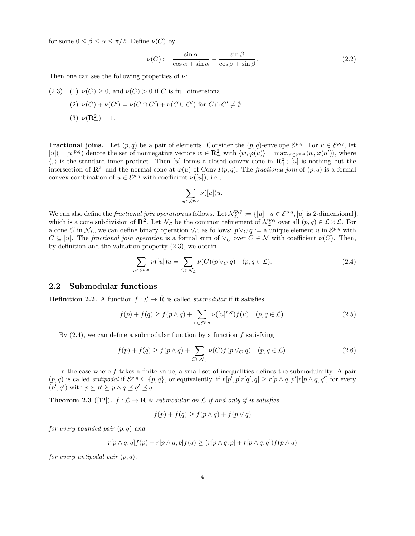for some  $0 \leq \beta \leq \alpha \leq \pi/2$ . Define  $\nu(C)$  by

$$
\nu(C) := \frac{\sin \alpha}{\cos \alpha + \sin \alpha} - \frac{\sin \beta}{\cos \beta + \sin \beta}.
$$
\n(2.2)

Then one can see the following properties of *ν*:

\n- (2.3) (1) 
$$
\nu(C) \geq 0
$$
, and  $\nu(C) > 0$  if C is full dimensional.
\n- (2)  $\nu(C) + \nu(C') = \nu(C \cap C') + \nu(C \cup C')$  for  $C \cap C' \neq \emptyset$ .
\n- (3)  $\nu(\mathbb{R}^2_+) = 1$ .
\n

**Fractional joins.** Let  $(p, q)$  be a pair of elements. Consider the  $(p, q)$ -envelope  $\mathcal{E}^{p,q}$ . For  $u \in \mathcal{E}^{p,q}$ , let  $[u] = [u]^{p,q}$  denote the set of nonnegative vectors  $w \in \mathbb{R}^2_+$  with  $\langle w, \varphi(u) \rangle = \max_{u' \in \mathcal{E}^{p,q}} \langle w, \varphi(u') \rangle$ , where  $\langle,\rangle$  is the standard inner product. Then [*u*] forms a closed convex cone in  $\mathbb{R}^2_+$ ; [*u*] is nothing but the intersection of  $\mathbb{R}^2_+$  and the normal cone at  $\varphi(u)$  of Conv *I*(*p, q*). The *fractional join* of (*p, q*) is a formal convex combination of  $u \in \mathcal{E}^{p,q}$  with coefficient  $\nu([u])$ , i.e.,

$$
\sum_{u \in \mathcal{E}^{p,q}} \nu([u]) u.
$$

We can also define the *fractional join operation* as follows. Let  $\mathcal{N}_\mathcal{L}^{p,q} := \{ [u] \mid u \in \mathcal{E}^{p,q}, [u] \text{ is } 2\text{-dimensional} \},$ which is a cone subdivision of  $\mathbb{R}^2$ . Let  $\mathcal{N}_\mathcal{L}$  be the common refinement of  $\mathcal{N}_\mathcal{L}^{p,q}$  over all  $(p,q) \in \mathcal{L} \times \mathcal{L}$ . For a cone *C* in  $\mathcal{N}_\mathcal{L}$ , we can define binary operation  $\vee_C$  as follows:  $p \vee_C q := \text{a unique element } u$  in  $\mathcal{E}^{p,q}$  with  $C \subseteq [u]$ . The *fractional join operation* is a formal sum of  $\vee_C$  over  $C \in \mathcal{N}$  with coefficient  $\nu(C)$ . Then, by definition and the valuation property (2.3), we obtain

$$
\sum_{u \in \mathcal{E}^{p,q}} \nu([u])u = \sum_{C \in \mathcal{N}_{\mathcal{L}}} \nu(C)(p \vee_C q) \quad (p, q \in \mathcal{L}).
$$
\n(2.4)

### **2.2 Submodular functions**

**Definition 2.2.** A function  $f : \mathcal{L} \to \overline{\mathbf{R}}$  is called *submodular* if it satisfies

$$
f(p) + f(q) \ge f(p \wedge q) + \sum_{u \in \mathcal{E}^{p,q}} \nu([u]^{p,q}) f(u) \quad (p, q \in \mathcal{L}).
$$
 (2.5)

By (2.4), we can define a submodular function by a function *f* satisfying

$$
f(p) + f(q) \ge f(p \wedge q) + \sum_{C \in \mathcal{N}_{\mathcal{L}}} \nu(C) f(p \vee_C q) \quad (p, q \in \mathcal{L}).
$$
 (2.6)

In the case where *f* takes a finite value, a small set of inequalities defines the submodularity. A pair  $(p,q)$  is called *antipodal* if  $\mathcal{E}^{p,q} \subseteq \{p,q\}$ , or equivalently, if  $r[p',p]r[q',q] \geq r[p \wedge q,p']r[p \wedge q,q']$  for every  $(p', q')$  with  $p \succeq p' \succeq p \land q \preceq q' \preceq q$ .

**Theorem 2.3** ([12]).  $f : \mathcal{L} \to \mathbf{R}$  *is submodular on*  $\mathcal{L}$  *if and only if it satisfies* 

$$
f(p) + f(q) \ge f(p \wedge q) + f(p \vee q)
$$

*for every bounded pair* (*p, q*) *and*

$$
r[p \wedge q, q]f(p) + r[p \wedge q, p]f(q) \ge (r[p \wedge q, p] + r[p \wedge q, q])f(p \wedge q)
$$

*for every antipodal pair* (*p, q*)*.*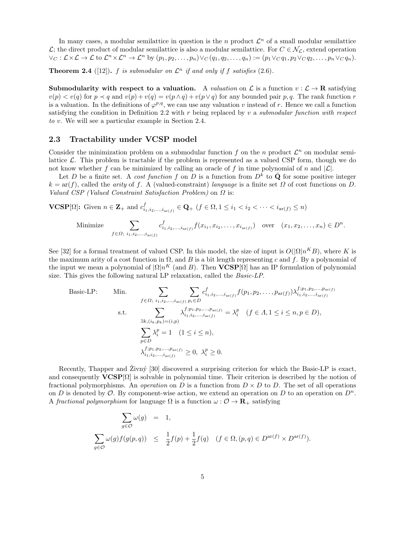In many cases, a modular semilattice in question is the *n* product  $\mathcal{L}^n$  of a small modular semilattice *L*; the direct product of modular semilattice is also a modular semilattice. For *C* ∈  $\mathcal{N}_\mathcal{L}$ , extend operation  $\vee_C : \mathcal{L} \times \mathcal{L} \to \mathcal{L}$  to  $\mathcal{L}^n \times \mathcal{L}^n \to \mathcal{L}^n$  by  $(p_1, p_2, \ldots, p_n) \vee_C (q_1, q_2, \ldots, q_n) := (p_1 \vee_C q_1, p_2 \vee_C q_2, \ldots, p_n \vee_C q_n).$ 

**Theorem 2.4** ([12]).  $f$  is submodular on  $\mathcal{L}^n$  if and only if  $f$  satisfies (2.6).

**Submodularity with respect to a valuation.** A *valuation* on  $\mathcal{L}$  is a function  $v : \mathcal{L} \to \mathbf{R}$  satisfying  $v(p) < v(q)$  for  $p \prec q$  and  $v(p) + v(q) = v(p \wedge q) + v(p \vee q)$  for any bounded pair p, q. The rank function r is a valuation. In the definitions of  $\varphi^{p,q}$ , we can use any valuation *v* instead of *r*. Hence we call a function satisfying the condition in Definition 2.2 with *r* being replaced by *v* a *submodular function with respect to v*. We will see a particular example in Section 2.4.

### **2.3 Tractability under VCSP model**

Consider the minimization problem on a submodular function  $f$  on the  $n$  product  $\mathcal{L}^n$  on modular semilattice  $\mathcal{L}$ . This problem is tractable if the problem is represented as a valued CSP form, though we do not know whether *f* can be minimized by calling an oracle of *f* in time polynomial of *n* and  $|L|$ .

Let *D* be a finite set. A *cost function f* on *D* is a function from  $D^{\overline{k}}$  to  $\overline{Q}$  for some positive integer  $k = \text{ar}(f)$ , called the *arity* of *f*. A (valued-constraint) *language* is a finite set  $\Omega$  of cost functions on *D*. *Valued CSP (Valued Constraint Satisfaction Problem)* on *Ω* is:

**VCSP**[ $\Omega$ ]: Given  $n \in \mathbb{Z}_+$  and  $c^f_{i_1, i_2, ..., i_{\text{ar}(f)}} \in \mathbb{Q}_+$  ( $f \in \Omega, 1 \leq i_1 < i_2 < \cdots < i_{\text{ar}(f)} \leq n$ )

Minimize 
$$
\sum_{f \in \Omega; i_1, i_2, \dots, i_{\text{ar}(f)}} c^f_{i_1, i_2, \dots, i_{\text{ar}(f)}} f(x_{i_1}, x_{i_2}, \dots, x_{i_{\text{ar}(f)}}) \text{ over } (x_1, x_2, \dots, x_n) \in D^n.
$$

See [32] for a formal treatment of valued CSP. In this model, the size of input is  $O(|\Omega|n^KB)$ , where *K* is the maximum arity of a cost function in  $\Omega$ , and *B* is a bit length representing *c* and *f*. By a polynomial of the input we mean a polynomial of  $|\Omega|n^K$  (and *B*). Then **VCSP**[ $\Omega$ ] has an IP formulation of polynomial size. This gives the following natural LP relaxation, called the *Basic-LP*.

Basic-LP: Min. 
$$
\sum_{f \in \Omega; i_1, i_2, ..., i_{\text{ar}(f)}} \sum_{p_i \in D} c^f_{i_1, i_2, ..., i_{\text{ar}(f)}} f(p_1, p_2, ..., p_{\text{ar}(f)}) \lambda^{f; p_1, p_2, ..., p_{\text{ar}(f)}}_{i_1, i_2, ..., i_{\text{ar}(f)}}
$$
  
s.t. 
$$
\sum_{\exists k, (i_k, p_k) = (i, p)} \lambda^{f; p_1, p_2, ..., p_{\text{ar}(f)}}_{i_1, i_2, ..., i_{\text{ar}(f)}} = \lambda^p_i \quad (f \in \Lambda, 1 \le i \le n, p \in D),
$$

$$
\sum_{p \in D} \lambda^p_i = 1 \quad (1 \le i \le n),
$$

$$
\lambda^{f; p_1, p_2, ..., p_{\text{ar}(f)}}_{i_1, i_2, ..., i_{\text{ar}(f)}} \ge 0, \ \lambda^p_i \ge 0.
$$

Recently, Thapper and  $\bar{Z}$ ivný [30] discovered a surprising criterion for which the Basic-LP is exact, and consequently  $VCSP[\Omega]$  is solvable in polynomial time. Their criterion is described by the notion of fractional polymorphisms. An *operation* on *D* is a function from  $D \times D$  to *D*. The set of all operations on *D* is denoted by  $\mathcal{O}$ . By component-wise action, we extend an operation on *D* to an operation on  $D^n$ . A *fractional polymorphism* for language  $\Omega$  is a function  $\omega : \mathcal{O} \to \mathbf{R}_{+}$  satisfying

$$
\sum_{g \in \mathcal{O}} \omega(g) = 1,
$$
\n
$$
\sum_{g \in \mathcal{O}} \omega(g) f(g(p, q)) \leq \frac{1}{2} f(p) + \frac{1}{2} f(q) \quad (f \in \Omega, (p, q) \in D^{\text{ar}(f)} \times D^{\text{ar}(f)}).
$$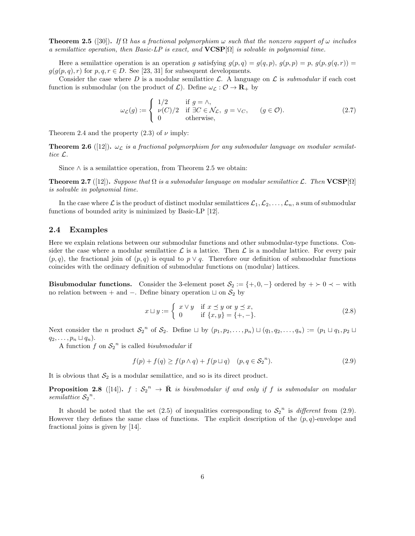**Theorem 2.5** ([30]). *If*  $\Omega$  *has a fractional polymorphism*  $\omega$  *such that the nonzero support of*  $\omega$  *includes a semilattice operation, then Basic-LP is exact, and* **VCSP**[Ω] *is solvable in polynomial time.*

Here a semilattice operation is an operation *g* satisfying  $g(p,q) = g(q,p)$ ,  $g(p,p) = p$ ,  $g(p,q(q,r)) =$  $g(g(p,q), r)$  for  $p, q, r \in D$ . See [23, 31] for subsequent developments.

Consider the case where D is a modular semilattice  $\mathcal{L}$ . A language on  $\mathcal{L}$  is *submodular* if each cost function is submodular (on the product of  $\mathcal{L}$ ). Define  $\omega_{\mathcal{L}} : \mathcal{O} \to \mathbf{R}_+$  by

$$
\omega_{\mathcal{L}}(g) := \begin{cases}\n1/2 & \text{if } g = \wedge, \\
\nu(C)/2 & \text{if } \exists C \in \mathcal{N}_{\mathcal{L}}, g = \vee_C, \\
0 & \text{otherwise,} \n\end{cases} \quad (g \in \mathcal{O}).
$$
\n(2.7)

Theorem 2.4 and the property  $(2.3)$  of  $\nu$  imply:

**Theorem 2.6** ([12]).  $\omega_{\mathcal{L}}$  *is a fractional polymorphism for any submodular language on modular semilattice L.*

Since *∧* is a semilattice operation, from Theorem 2.5 we obtain:

**Theorem 2.7** ([12])**.** *Suppose that*  $\Omega$  *is a submodular language on modular semilattice*  $\mathcal{L}$ *. Then*  $\mathbf{VCSP}[\Omega]$ *is solvable in polynomial time.*

In the case where  $\mathcal{L}$  is the product of distinct modular semilattices  $\mathcal{L}_1, \mathcal{L}_2, \ldots, \mathcal{L}_n$ , a sum of submodular functions of bounded arity is minimized by Basic-LP [12].

#### **2.4 Examples**

Here we explain relations between our submodular functions and other submodular-type functions. Consider the case where a modular semilattice  $\mathcal L$  is a lattice. Then  $\mathcal L$  is a modular lattice. For every pair  $(p, q)$ , the fractional join of  $(p, q)$  is equal to  $p \vee q$ . Therefore our definition of submodular functions coincides with the ordinary definition of submodular functions on (modular) lattices.

**Bisubmodular functions.** Consider the 3-element poset  $S_2 := \{+,0,-\}$  ordered by  $+ \succ 0$   $\prec -$  with no relation between + and *−*. Define binary operation *⊔* on *S*<sup>2</sup> by

$$
x \sqcup y := \begin{cases} x \lor y & \text{if } x \preceq y \text{ or } y \preceq x, \\ 0 & \text{if } \{x, y\} = \{+, -\}.\end{cases}
$$
\n
$$
(2.8)
$$

Next consider the *n* product  $S_2^n$  of  $S_2$ . Define  $\sqcup$  by  $(p_1, p_2, \ldots, p_n) \sqcup (q_1, q_2, \ldots, q_n) := (p_1 \sqcup q_1, p_2 \sqcup q_2)$  $q_2, \ldots, p_n \sqcup q_n$ .

A function  $f$  on  $S_2$ <sup>n</sup> is called *bisubmodular* if

$$
f(p) + f(q) \ge f(p \wedge q) + f(p \sqcup q) \quad (p, q \in S_2^{n}).
$$
\n(2.9)

It is obvious that  $S_2$  is a modular semilattice, and so is its direct product.

**Proposition 2.8** ([14]).  $f : S_2^n \to \overline{\mathbf{R}}$  is bisubmodular if and only if f is submodular on modular *semilattice*  $S_2$ <sup>*n*</sup>.

It should be noted that the set  $(2.5)$  of inequalities corresponding to  $S_2^{\{n\}}$  is *different* from  $(2.9)$ . However they defines the same class of functions. The explicit description of the  $(p, q)$ -envelope and fractional joins is given by [14].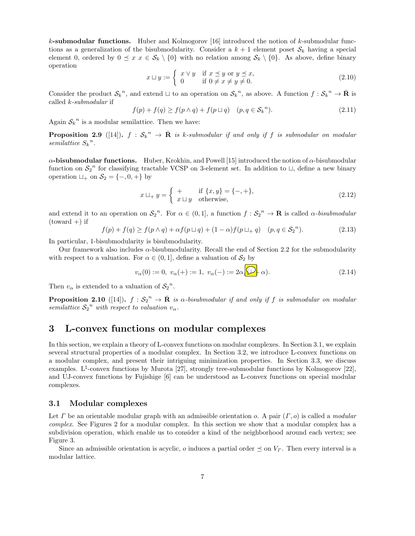*k***-submodular functions.** Huber and Kolmogorov [16] introduced the notion of *k*-submodular functions as a generalization of the bisubmodularity. Consider a  $k + 1$  element poset  $S_k$  having a special element 0, ordered by  $0 \le x \le \mathcal{S}_k \setminus \{0\}$  with no relation among  $\mathcal{S}_k \setminus \{0\}$ . As above, define binary operation

$$
x \sqcup y := \begin{cases} x \lor y & \text{if } x \preceq y \text{ or } y \preceq x, \\ 0 & \text{if } 0 \neq x \neq y \neq 0. \end{cases}
$$
 (2.10)

Consider the product  $S_k^{\ n}$ , and extend  $\sqcup$  to an operation on  $S_k^{\ n}$ , as above. A function  $f: S_k^{\ n} \to \bar{\mathbf{R}}$  is called *k-submodular* if

$$
f(p) + f(q) \ge f(p \wedge q) + f(p \sqcup q) \quad (p, q \in \mathcal{S}_k^n). \tag{2.11}
$$

Again  $S_k^{\ n}$  is a modular semilattice. Then we have:

**Proposition 2.9** ([14]).  $f : S_k^n \to \overline{\mathbf{R}}$  is k-submodular if and only if f is submodular on modular *semilattice*  $S_k^n$ .

*α***-bisubmodular functions.** Huber, Krokhin, and Powell [15] introduced the notion of *α*-bisubmodular function on  $S_2^{\{n\}}$  for classifying tractable VCSP on 3-element set. In addition to  $\sqcup$ , define a new binary operation  $\sqcup_+$  on  $S_2 = \{-,0,+\}$  by

$$
x \sqcup_{+} y = \begin{cases} + & \text{if } \{x, y\} = \{-, +\}, \\ x \sqcup y & \text{otherwise,} \end{cases} \tag{2.12}
$$

and extend it to an operation on  $S_2^{\ n}$ . For  $\alpha \in (0,1]$ , a function  $f: S_2^{\ n} \to \mathbf{R}$  is called  $\alpha$ -bisubmodular  $(toward +)$  if

$$
f(p) + f(q) \ge f(p \wedge q) + \alpha f(p \sqcup q) + (1 - \alpha)f(p \sqcup_{+} q) \quad (p, q \in S_2^{n}).
$$
\n(2.13)

In particular, 1-bisubmodularity is bisubmodularity.

Our framework also includes  $\alpha$ -bisubmodularity. Recall the end of Section 2.2 for the submodularity with respect to a valuation. For  $\alpha \in (0,1]$ , define a valuation of  $S_2$  by

$$
v_{\alpha}(0) := 0, \ v_{\alpha}(+) := 1, \ v_{\alpha}(-) := 2\alpha \sqrt{2} \alpha.
$$
 (2.14)

Then  $v_{\alpha}$  is extended to a valuation of  $S_2^{\ n}$ .

**Proposition 2.10** ([14]).  $f : S_2^{\{n\}} \to \overline{\mathbf{R}}$  *is*  $\alpha$ -bisubmodular if and only if f is submodular on modular *semilattice*  $S_2$ <sup>*n*</sup> *with respect to valuation*  $v_\alpha$ *.* 

# **3 L-convex functions on modular complexes**

In this section, we explain a theory of L-convex functions on modular complexes. In Section 3.1, we explain several structural properties of a modular complex. In Section 3.2, we introduce L-convex functions on a modular complex, and present their intriguing minimization properties. In Section 3.3, we discuss examples. L<sup> $\sharp$ </sup>-convex functions by Murota [27], strongly tree-submodular functions by Kolmogorov [22], and UJ-convex functions by Fujishige [6] can be understood as L-convex functions on special modular complexes.

#### **3.1 Modular complexes**

Let *Γ* be an orientable modular graph with an admissible orientation *o*. A pair (*Γ, o*) is called a *modular complex*. See Figures 2 for a modular complex. In this section we show that a modular complex has a subdivision operation, which enable us to consider a kind of the neighborhood around each vertex; see Figure 3.

Since an admissible orientation is acyclic, *o* induces a partial order  $\preceq$  on  $V<sub>r</sub>$ . Then every interval is a modular lattice.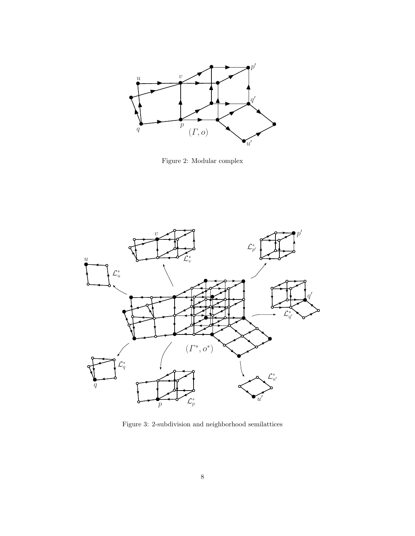

Figure 2: Modular complex



Figure 3: 2-subdivision and neighborhood semilattices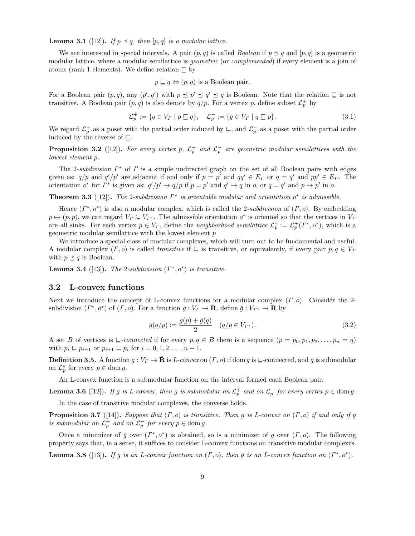**Lemma 3.1** ([12]). *If*  $p \leq q$ *, then* [p, q] *is a modular lattice.* 

We are interested in special intervals. A pair  $(p, q)$  is called *Boolean* if  $p \prec q$  and  $[p, q]$  is a geometric modular lattice, where a modular semilattice is *geometric* (or *complemented*) if every element is a join of atoms (rank 1 elements). We define relation *⊑* by

$$
p \sqsubseteq q \Leftrightarrow (p,q)
$$
 is a Boolean pair.

For a Boolean pair  $(p, q)$ , any  $(p', q')$  with  $p \leq p' \leq q' \leq q$  is Boolean. Note that the relation  $\sqsubseteq$  is not transitive. A Boolean pair  $(p, q)$  is also denote by  $q/p$ . For a vertex p, define subset  $\mathcal{L}_p^+$  by

$$
\mathcal{L}_p^+ := \{ q \in V_\Gamma \mid p \sqsubseteq q \}, \quad \mathcal{L}_p^- := \{ q \in V_\Gamma \mid q \sqsubseteq p \}. \tag{3.1}
$$

We regard  $\mathcal{L}_p^+$  as a poset with the partial order induced by  $\subseteq$ , and  $\mathcal{L}_p^-$  as a poset with the partial order induced by the reverse of *⊑*.

**Proposition 3.2** ([12]). For every vertex p,  $\mathcal{L}_p^+$  and  $\mathcal{L}_p^-$  are geometric modular semilattices with the *lowest element p.*

The 2*-subdivision Γ<sup>∗</sup>* of *Γ* is a simple undirected graph on the set of all Boolean pairs with edges given as:  $q/p$  and  $q'/p'$  are adjacent if and only if  $p = p'$  and  $qq' \in E_{\Gamma}$  or  $q = q'$  and  $pp' \in E_{\Gamma}$ . The orientation  $o^*$  for  $\Gamma^*$  is given as:  $q'/p' \to q/p$  if  $p = p'$  and  $q' \to q$  in  $o$ , or  $q = q'$  and  $p \to p'$  in  $o$ .

**Theorem 3.3** ([12]). The 2-subdivision  $\Gamma^*$  is orientable modular and orientation  $o^*$  is admissible.

Hence  $(\Gamma^*, o^*)$  is also a modular complex, which is called the 2*-subdivision* of  $(\Gamma, o)$ . By embedding  $p \mapsto (p, p)$ , we can regard  $V_{\Gamma} \subseteq V_{\Gamma^*}$ . The admissible orientation  $o^*$  is oriented so that the vertices in  $V_{\Gamma}$ are all sinks. For each vertex  $p \in V_\Gamma$ , define the *neighborhood semilattice*  $\mathcal{L}_p^* := \mathcal{L}_p^+(F^*, o^*)$ , which is a geometric modular semilattice with the lowest element *p*

We introduce a special class of modular complexes, which will turn out to be fundamental and useful. A modular complex  $(\Gamma, o)$  is called *transitive* if  $\Gamma$  is transitive, or equivalently, if every pair  $p, q \in V$ <sup>r</sup> with  $p \preceq q$  is Boolean.

**Lemma 3.4** ([13]). *The* 2-subdivision  $(\Gamma^*, o^*)$  is transitive.

#### **3.2 L-convex functions**

Next we introduce the concept of L-convex functions for a modular complex (*Γ, o*). Consider the 2 subdivision  $(\Gamma^*, o^*)$  of  $(\Gamma, o)$ . For a function  $g: V_\Gamma \to \overline{\mathbf{R}}$ , define  $\overline{g}: V_{\Gamma^*} \to \overline{\mathbf{R}}$  by

$$
\bar{g}(q/p) := \frac{g(p) + g(q)}{2} \quad (q/p \in V_{\Gamma^*}).
$$
\n(3.2)

A set *B* of vertices is  $\subseteq$ -connected if for every  $p, q \in B$  there is a sequence  $(p = p_0, p_1, p_2, \ldots, p_n = q)$ with  $p_i \subseteq p_{i+1}$  or  $p_{i+1} \subseteq p_i$  for  $i = 0, 1, 2, ..., n-1$ .

**Definition 3.5.** A function  $g: V_\Gamma \to \overline{\mathbf{R}}$  is *L-convex* on  $(\Gamma, o)$  if dom *g* is  $\subseteq$ -connected, and  $\overline{g}$  is submodular on  $\mathcal{L}_p^*$  for every  $p \in \text{dom } g$ .

An L-convex function is a submodular function on the interval formed each Boolean pair.

**Lemma 3.6** ([12]). If g is L-convex, then g is submodular on  $\mathcal{L}_p^+$  and on  $\mathcal{L}_p^-$  for every vertex  $p \in \text{dom } g$ .

In the case of transitive modular complexes, the converse holds.

**Proposition 3.7** ([14]). *Suppose that*  $(\Gamma, o)$  *is transitive. Then g is L-convex on*  $(\Gamma, o)$  *if and only if g is submodular on*  $\mathcal{L}_p^+$  *and on*  $\mathcal{L}_p^-$  *for every*  $p \in \text{dom } g$ *.* 

Once a minimizer of  $\bar{g}$  over  $(\Gamma^*, o^*)$  is obtained, so is a minimizer of *g* over  $(\Gamma, o)$ . The following property says that, in a sense, it suffices to consider L-convex functions on transitive modular complexes.

**Lemma 3.8** ([13]). If g is an L-convex function on  $(\Gamma, o)$ , then  $\bar{g}$  is an L-convex function on  $(\Gamma^*, o^*)$ .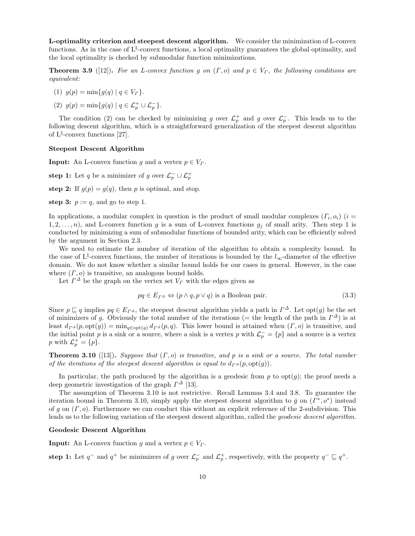**L-optimality criterion and steepest descent algorithm.** We consider the minimization of L-convex functions. As in the case of L<sup> $\natural$ </sup>-convex functions, a local optimality guarantees the global optimality, and the local optimality is checked by submodular function minimizations.

**Theorem 3.9** ([12]). For an L-convex function g on  $(\Gamma, o)$  and  $p \in V_\Gamma$ , the following conditions are *equivalent:*

- $(1)$   $q(p) = \min\{q(q) | q \in V_r\}.$
- (2)  $g(p) = \min\{g(q) | q \in \mathcal{L}_p^+ \cup \mathcal{L}_p^-\}.$

The condition (2) can be checked by minimizing *g* over  $\mathcal{L}_p^+$  and *g* over  $\mathcal{L}_p^-$ . This leads us to the following descent algorithm, which is a straightforward generalization of the steepest descent algorithm of L*♮* -convex functions [27].

#### **Steepest Descent Algorithm**

**Input:** An L-convex function *g* and a vertex  $p \in V_r$ .

**step 1:** Let *q* be a minimizer of *g* over  $\mathcal{L}_p^- \cup \mathcal{L}_p^+$ 

**step 2:** If  $g(p) = g(q)$ , then *p* is optimal, and stop.

**step 3:**  $p := q$ , and go to step 1.

In applications, a modular complex in question is the product of small modular complexes  $(F_i, o_i)$  ( $i =$ 1, 2, ..., n), and L-convex function g is a sum of L-convex functions  $g_j$  of small arity. Then step 1 is conducted by minimizing a sum of submodular functions of bounded arity, which can be efficiently solved by the argument in Section 2.3.

We need to estimate the number of iteration of the algorithm to obtain a complexity bound. In the case of  $L^{\sharp}$ -convex functions, the number of iterations is bounded by the  $l_{\infty}$ -diameter of the effective domain. We do not know whether a similar bound holds for our cases in general. However, in the case where (*Γ, o*) is transitive, an analogous bound holds.

Let  $\Gamma^{\Delta}$  be the graph on the vertex set  $V_{\Gamma}$  with the edges given as

$$
pq \in E_{\Gamma^{\Delta}} \Leftrightarrow (p \wedge q, p \vee q) \text{ is a Boolean pair.}
$$
\n(3.3)

Since  $p \subseteq q$  implies  $pq \in E_{\Gamma^{\Delta}}$ , the steepest descent algorithm yields a path in  $\Gamma^{\Delta}$ . Let opt $(g)$  be the set of minimizers of *g*. Obviously the total number of the iterations (= the length of the path in  $\Gamma^{\Delta}$ ) is at least  $d_{\Gamma^{\Delta}}(p, \text{opt}(g)) = \min_{q \in \text{opt}(g)} d_{\Gamma^{\Delta}}(p, q)$ . This lower bound is attained when  $(\Gamma, o)$  is transitive, and the initial point *p* is a sink or a source, where a sink is a vertex *p* with  $\mathcal{L}_p^- = \{p\}$  and a source is a vertex *p* with  $\mathcal{L}_p^+ = \{p\}.$ 

**Theorem 3.10** ([13])**.** *Suppose that* (*Γ, o*) *is transitive, and p is a sink or a source. The total number of the iterations of the steepest descent algorithm is equal to*  $d_{\Gamma^{\Delta}}(p, \text{opt}(q))$ .

In particular, the path produced by the algorithm is a geodesic from  $p$  to  $opt(g)$ ; the proof needs a deep geometric investigation of the graph *Γ <sup>∆</sup>* [13].

The assumption of Theorem 3.10 is not restrictive. Recall Lemmas 3.4 and 3.8. To guarantee the iteration bound in Theorem 3.10, simply apply the steepest descent algorithm to  $\bar{g}$  on  $(I^*, o^*)$  instead of *g* on (*Γ, o*). Furthermore we can conduct this without an explicit reference of the 2-subdivision. This leads us to the following variation of the steepest descent algorithm, called the *geodesic descent algorithm*.

#### **Geodesic Descent Algorithm**

**Input:** An L-convex function *g* and a vertex  $p \in V<sub>\Gamma</sub>$ .

**step 1:** Let  $q^-$  and  $q^+$  be minimizers of *g* over  $\mathcal{L}_p^-$  and  $\mathcal{L}_p^+$ , respectively, with the property  $q^- \sqsubseteq q^+$ .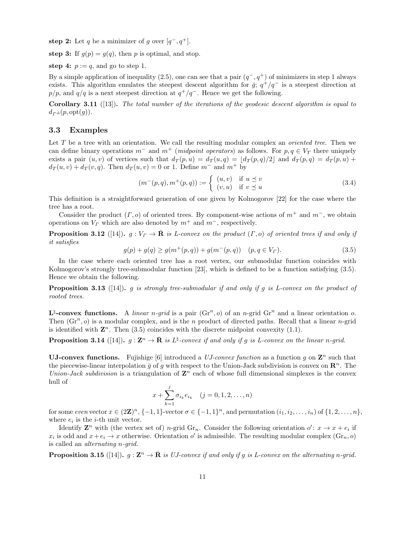**step 2:** Let *q* be a minimizer of *g* over  $[q^-, q^+]$ .

**step 3:** If  $g(p) = g(q)$ , then *p* is optimal, and stop.

**step 4:**  $p := q$ , and go to step 1.

By a simple application of inequality  $(2.5)$ , one can see that a pair  $(q^-, q^+)$  of minimizers in step 1 always exists. This algorithm emulates the steepest descent algorithm for  $\bar{g}$ ;  $q^+/q^-$  is a steepest direction at *p/p*, and  $q/q$  is a next steepest direction at  $q^+/q^-$ . Hence we get the following.

**Corollary 3.11** ([13])**.** *The total number of the iterations of the geodesic descent algorithm is equal to*  $d_{\Gamma^{\Delta}}(p, \text{opt}(g)).$ 

#### **3.3 Examples**

Let *T* be a tree with an orientation. We call the resulting modular complex an *oriented tree*. Then we can define binary operations  $m^-$  and  $m^+$  (*midpoint operators*) as follows. For  $p, q \in V_T$  there uniquely exists a pair  $(u, v)$  of vertices such that  $d_T(p, u) = d_T(u, q) = [d_T(p, q)/2]$  and  $d_T(p, q) = d_T(p, u) +$  $d_T(u, v) + d_T(v, q)$ . Then  $d_T(u, v) = 0$  or 1. Define  $m^-$  and  $m^+$  by

$$
(m^-(p,q), m^+(p,q)) := \begin{cases} (u,v) & \text{if } u \le v \\ (v,u) & \text{if } v \le u \end{cases}
$$
\n
$$
(3.4)
$$

This definition is a straightforward generation of one given by Kolmogorov [22] for the case where the tree has a root.

Consider the product  $(\Gamma, o)$  of oriented trees. By component-wise actions of  $m^+$  and  $m^-$ , we obtain operations on  $V_\Gamma$  which are also denoted by  $m^+$  and  $m^-$ , respectively.

**Proposition 3.12** ([14])**.**  $g: V_\Gamma \to \mathbf{R}$  is L-convex on the product  $(\Gamma, o)$  of oriented trees if and only if *it satisfies*

$$
g(p) + g(q) \ge g(m^+(p, q)) + g(m^-(p, q)) \quad (p, q \in V_\Gamma). \tag{3.5}
$$

In the case where each oriented tree has a root vertex, our submodular function coincides with Kolmogorov's strongly tree-submodular function [23], which is defined to be a function satisfying (3.5). Hence we obtain the following.

**Proposition 3.13** ([14])**.** *g is strongly tree-submodular if and only if g is L-convex on the product of rooted trees.*

 $\mathbf{L}^{\natural}$ -convex functions. A *linear n*-grid is a pair  $(\mathrm{Gr}^n, o)$  of an *n*-grid  $\mathrm{Gr}^n$  and a linear orientation *o*. Then  $(Gr<sup>n</sup>, o)$  is a modular complex, and is the *n* product of directed paths. Recall that a linear *n*-grid is identified with  $\mathbf{Z}^n$ . Then (3.5) coincides with the discrete midpoint convexity (1.1).

**Proposition 3.14** ([14]).  $g: \mathbf{Z}^n \to \bar{\mathbf{R}}$  is  $L^{\natural}$ -convex if and only if g is L-convex on the linear *n*-grid.

**UJ-convex functions.** Fujishige [6] introduced a *UJ-convex function* as a function  $g$  on  $\mathbf{Z}^n$  such that the piecewise-linear interpolation  $\bar{g}$  of  $g$  with respect to the Union-Jack subdivision is convex on  $\mathbb{R}^n$ . The *Union-Jack subdivision* is a triangulation of  $\mathbb{Z}^n$  each of whose full dimensional simplexes is the convex hull of

$$
x + \sum_{k=1}^{j} \sigma_{i_k} e_{i_k} \quad (j = 0, 1, 2, \dots, n)
$$

for some even vector  $x \in (2\mathbb{Z})^n$ ,  $\{-1,1\}$ -vector  $\sigma \in \{-1,1\}^n$ , and permutation  $(i_1, i_2, \ldots, i_n)$  of  $\{1,2,\ldots,n\}$ , where  $e_i$  is the *i*-th unit vector.

Identify  $\mathbf{Z}^n$  with (the vertex set of) *n*-grid  $\mathrm{Gr}_n$ . Consider the following orientation  $o'$ :  $x \to x + e_i$  if  $x_i$  is odd and  $x + e_i \to x$  otherwise. Orientation *o'* is admissible. The resulting modular complex  $(\text{Gr}_n, o)$ is called an *alternating n-grid*.

**Proposition 3.15** ([14]).  $g: \mathbf{Z}^n \to \bar{\mathbf{R}}$  is UJ-convex if and only if g is L-convex on the alternating *n*-grid.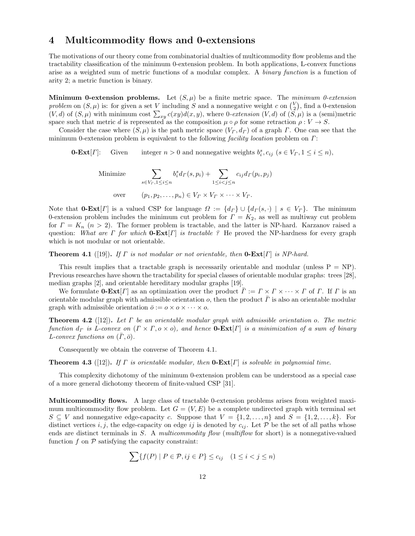## **4 Multicommodity flows and 0-extensions**

The motivations of our theory come from combinatorial dualties of multicommodity flow problems and the tractability classification of the minimum 0-extension problem. In both applications, L-convex functions arise as a weighted sum of metric functions of a modular complex. A *binary function* is a function of arity 2; a metric function is binary.

**Minimum 0-extension problems.** Let  $(S, \mu)$  be a finite metric space. The *minimum 0-extension problem* on  $(S, \mu)$  is: for given a set *V* including *S* and a nonnegative weight *c* on  $\binom{V}{2}$ , find a 0-extension  $(V, d)$  of  $(S, \mu)$  with minimum cost  $\sum_{xy} c(xy)d(x, y)$ , where 0*-extension*  $(V, d)$  of  $(S, \mu)$  is a (semi)metric space such that metric *d* is represented as the composition  $\mu \circ \rho$  for some retraction  $\rho: V \to S$ .

Consider the case where  $(S, \mu)$  is the path metric space  $(V_\Gamma, d_\Gamma)$  of a graph *Γ*. One can see that the minimum 0-extension problem is equivalent to the following *facility location* problem on *Γ*:

**0-Ext**[*Γ*]: Given integer  $n > 0$  and nonnegative weights  $b_i^s, c_{ij}$  ( $s \in V_\Gamma, 1 \le i \le n$ ),

Minimize 
$$
\sum_{s \in V_r, 1 \le i \le n} b_i^s d_{\Gamma}(s, p_i) + \sum_{1 \le i < j \le n} c_{ij} d_{\Gamma}(p_i, p_j)
$$
\nover 
$$
(p_1, p_2, \dots, p_n) \in V_\Gamma \times V_\Gamma \times \dots \times V_\Gamma.
$$

Note that **0-Ext**[*Γ*] is a valued CSP for language  $\Omega := \{d_F\} \cup \{d_F(s, \cdot) \mid s \in V_F\}$ . The minimum 0-extension problem includes the minimum cut problem for  $\Gamma = K_2$ , as well as multiway cut problem for *Γ* = *K<sup>n</sup>* (*n >* 2). The former problem is tractable, and the latter is NP-hard. Karzanov raised a question: *What are Γ for which* **0-Ext**[*Γ*] *is tractable ?* He proved the NP-hardness for every graph which is not modular or not orientable.

**Theorem 4.1** ([19])**.** *If Γ is not modular or not orientable, then* **0-Ext**[*Γ*] *is NP-hard.*

This result implies that a tractable graph is necessarily orientable and modular (unless  $P = NP$ ). Previous researches have shown the tractability for special classes of orientable modular graphs: trees [28], median graphs [2], and orientable hereditary modular graphs [19].

We formulate **0-Ext**[*Γ*] as an optimization over the product  $\overline{\Gamma} := \Gamma \times \Gamma \times \cdots \times \Gamma$  of *Γ*. If *Γ* is an orientable modular graph with admissible orientation *o*, then the product *Γ*¯ is also an orientable modular graph with admissible orientation  $\bar{\rho} := o \times o \times \cdots \times o$ .

**Theorem 4.2** ([12])**.** *Let Γ be an orientable modular graph with admissible orientation o. The metric function d<sup>Γ</sup> is L-convex on* (*Γ × Γ, o × o*)*, and hence* **0-Ext**[*Γ*] *is a minimization of a sum of binary*  $L$ -convex functions on  $(\Gamma, \bar{o})$ .

Consequently we obtain the converse of Theorem 4.1.

**Theorem 4.3** ([12])**.** *If Γ is orientable modular, then* **0-Ext**[*Γ*] *is solvable in polynomial time.*

This complexity dichotomy of the minimum 0-extension problem can be understood as a special case of a more general dichotomy theorem of finite-valued CSP [31].

**Multicommodity flows.** A large class of tractable 0-extension problems arises from weighted maximum multicommodity flow problem. Let  $G = (V, E)$  be a complete undirected graph with terminal set  $S \subseteq V$  and nonnegative edge-capacity *c*. Suppose that  $V = \{1, 2, \ldots, n\}$  and  $S = \{1, 2, \ldots, k\}$ . For distinct vertices *i, j*, the edge-capacity on edge *ij* is denoted by  $c_{ij}$ . Let  $P$  be the set of all paths whose ends are distinct terminals in *S*. A *multicommodity flow* (*multiflow* for short) is a nonnegative-valued function  $f$  on  $\mathcal P$  satisfying the capacity constraint:

$$
\sum \{f(P) \mid P \in \mathcal{P}, ij \in P\} \le c_{ij} \quad (1 \le i < j \le n)
$$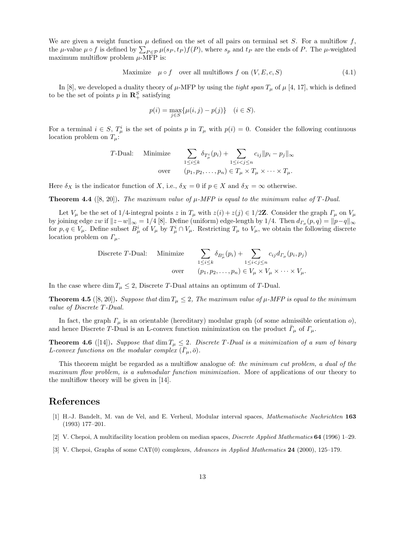We are given a weight function  $\mu$  defined on the set of all pairs on terminal set *S*. For a multiflow  $f$ , the  $\mu$ -value  $\mu \circ f$  is defined by  $\sum_{P \in \mathcal{P}} \mu(s_P, t_P) f(P)$ , where  $s_p$  and  $t_P$  are the ends of P. The  $\mu$ -weighted maximum multiflow problem  $\mu$ -MFP is:

Maximize 
$$
\mu \circ f
$$
 over all multiflows  $f$  on  $(V, E, c, S)$  (4.1)

In [8], we developed a duality theory of  $\mu$ -MFP by using the *tight span*  $T_{\mu}$  of  $\mu$  [4, 17], which is defined to be the set of points  $p$  in  $\mathbb{R}^S_+$  satisfying

$$
p(i) = \max_{j \in S} \{ \mu(i, j) - p(j) \} \quad (i \in S).
$$

For a terminal  $i \in S$ ,  $T^i_\mu$  is the set of points p in  $T_\mu$  with  $p(i) = 0$ . Consider the following continuous location problem on  $T_\mu$ :

$$
T\text{-Dual:}\quad\text{Minimize}\quad\sum_{1\leq i\leq k}\delta_{T_{\mu}^{i}}(p_{i})+\sum_{1\leq i
$$

Here  $\delta_X$  is the indicator function of *X*, i.e.,  $\delta_X = 0$  if  $p \in X$  and  $\delta_X = \infty$  otherwise.

**Theorem 4.4** ([8, 20]). The maximum value of  $\mu$ -MFP is equal to the minimum value of T-Dual.

Let  $V_\mu$  be the set of 1/4-integral points *z* in  $T_\mu$  with  $z(i) + z(j) \in 1/2\mathbb{Z}$ . Consider the graph  $\Gamma_\mu$  on  $V_\mu$ by joining edge zw if  $||z-w||_{\infty} = 1/4$  [8]. Define (uniform) edge-length by 1/4. Then  $d_{\Gamma_{\mu}}(p,q) = ||p-q||_{\infty}$ for  $p, q \in V_\mu$ . Define subset  $B^i_\mu$  of  $V_\mu$  by  $T^i_\mu \cap V_\mu$ . Restricting  $T_\mu$  to  $V_\mu$ , we obtain the following discrete location problem on *Γµ*.

Discrete *T*-Dual: Minimize 
$$
\sum_{1 \leq i \leq k} \delta_{B^i_\mu}(p_i) + \sum_{1 \leq i < j \leq n} c_{ij} d_{\Gamma_\mu}(p_i, p_j)
$$
\nover 
$$
\text{over } \qquad (p_1, p_2, \dots, p_n) \in V_\mu \times V_\mu \times \dots \times V_\mu.
$$

In the case where dim  $T_{\mu} \leq 2$ , Discrete *T*-Dual attains an optimum of *T*-Dual.

**Theorem 4.5** ([8, 20]). *Suppose that* dim  $T_{\mu} \leq 2$ , The maximum value of  $\mu$ -MFP is equal to the minimum *value of Discrete T-Dual.*

In fact, the graph *Γ<sup>µ</sup>* is an orientable (hereditary) modular graph (of some admissible orientation *o*), and hence Discrete *T*-Dual is an L-convex function minimization on the product  $\bar{\Gamma}_{\mu}$  of  $\Gamma_{\mu}$ .

**Theorem 4.6** ([14]). *Suppose that* dim  $T_{\mu} \leq 2$ . *Discrete T-Dual is a minimization of a sum of binary L*-convex functions on the modular complex  $(\bar{\Gamma}_{\mu}, \bar{\sigma})$ .

This theorem might be regarded as a multiflow analogue of: *the minimum cut problem, a dual of the maximum flow problem, is a submodular function minimization.* More of applications of our theory to the multiflow theory will be given in [14].

## **References**

- [1] H.-J. Bandelt, M. van de Vel, and E. Verheul, Modular interval spaces, *Mathematische Nachrichten* **163** (1993) 177–201.
- [2] V. Chepoi, A multifacility location problem on median spaces, *Discrete Applied Mathematics* **64** (1996) 1–29.
- [3] V. Chepoi, Graphs of some CAT(0) complexes, *Advances in Applied Mathematics* **24** (2000), 125–179.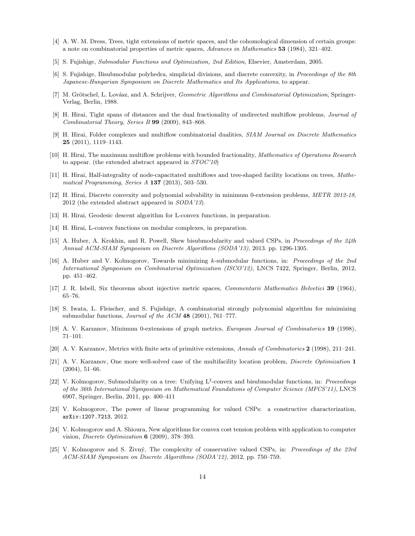- [4] A. W. M. Dress, Trees, tight extensions of metric spaces, and the cohomological dimension of certain groups: a note on combinatorial properties of metric spaces, *Advances in Mathematics* **53** (1984), 321–402.
- [5] S. Fujishige, *Submodular Functions and Optimization, 2nd Edition*, Elsevier, Amsterdam, 2005.
- [6] S. Fujishige, Bisubmodular polyhedra, simplicial divisions, and discrete convexity, in *Proceedings of the 8th Japanese-Hungarian Symposium on Discrete Mathematics and Its Applications*, to appear.
- [7] M. Grötschel, L. Lovász, and A. Schrijver, *Geometric Algorithms and Combinatorial Optimization*, Springer-Verlag, Berlin, 1988.
- [8] H. Hirai, Tight spans of distances and the dual fractionality of undirected multiflow problems, *Journal of Combinatorial Theory, Series B* **99** (2009), 843–868.
- [9] H. Hirai, Folder complexes and multiflow combinatorial dualities, *SIAM Journal on Discrete Mathematics* **25** (2011), 1119–1143.
- [10] H. Hirai, The maximum multiflow problems with bounded fractionality, *Mathematics of Operations Research* to appear. (the extended abstract appeared in *STOC'10*)
- [11] H. Hirai, Half-integrality of node-capacitated multiflows and tree-shaped facility locations on trees, *Mathematical Programming, Series A* **137** (2013), 503–530.
- [12] H. Hirai, Discrete convexity and polynomial solvability in minimum 0-extension problems, *METR 2012-18*, 2012 (the extended abstract appeared in *SODA'13*).
- [13] H. Hirai, Geodesic descent algorithm for L-convex functions, in preparation.
- [14] H. Hirai, L-convex functions on modular complexes, in preparation.
- [15] A. Huber, A. Krokhin, and R. Powell, Skew bisubmodularity and valued CSPs, in *Proceedings of the 24th Annual ACM-SIAM Symposium on Discrete Algorithms (SODA'13)*, 2013. pp. 1296-1305.
- [16] A. Huber and V. Kolmogorov, Towards minimizing *k*-submodular functions, in: *Proceedings of the 2nd International Symposium on Combinatorial Optimization (ISCO'12)*, LNCS 7422, Springer, Berlin, 2012, pp. 451–462.
- [17] J. R. Isbell, Six theorems about injective metric spaces, *Commentarii Mathematici Helvetici* **39** (1964), 65–76.
- [18] S. Iwata, L. Fleischer, and S. Fujishige, A combinatorial strongly polynomial algorithm for minimizing submodular functions, *Journal of the ACM* **48** (2001), 761–777.
- [19] A. V. Karzanov, Minimum 0-extensions of graph metrics, *European Journal of Combinatorics* **19** (1998), 71–101.
- [20] A. V. Karzanov, Metrics with finite sets of primitive extensions, *Annals of Combinatorics* **2** (1998), 211–241.
- [21] A. V. Karzanov, One more well-solved case of the multifacility location problem, *Discrete Optimization* **1** (2004), 51–66.
- [22] V. Kolmogorov, Submodularity on a tree: Unifying L*♮* -convex and bisubmodular functions, in: *Proceedings of the 36th International Symposium on Mathematical Foundations of Computer Science (MFCS'11)*, LNCS 6907, Springer, Berlin, 2011, pp. 400–411
- [23] V. Kolmogorov, The power of linear programming for valued CSPs: a constructive characterization, arXiv:1207.7213, 2012.
- [24] V. Kolmogorov and A. Shioura, New algorithms for convex cost tension problem with application to computer vision, *Discrete Optimization* **6** (2009), 378–393.
- [25] V. Kolmogorov and S. Živný, The complexity of conservative valued CSPs, in: *Proceedings of the 23rd ACM-SIAM Symposium on Discrete Algorithms (SODA'12)*, 2012, pp. 750–759.